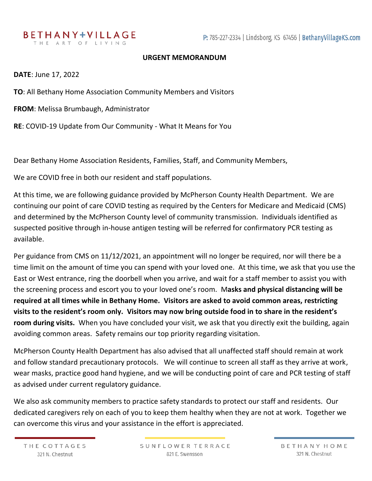## **URGENT MEMORANDUM**

**DATE**: June 17, 2022

**TO**: All Bethany Home Association Community Members and Visitors

**FROM**: Melissa Brumbaugh, Administrator

**RE**: COVID-19 Update from Our Community - What It Means for You

Dear Bethany Home Association Residents, Families, Staff, and Community Members,

We are COVID free in both our resident and staff populations.

At this time, we are following guidance provided by McPherson County Health Department. We are continuing our point of care COVID testing as required by the Centers for Medicare and Medicaid (CMS) and determined by the McPherson County level of community transmission. Individuals identified as suspected positive through in-house antigen testing will be referred for confirmatory PCR testing as available.

Per guidance from CMS on 11/12/2021, an appointment will no longer be required, nor will there be a time limit on the amount of time you can spend with your loved one. At this time, we ask that you use the East or West entrance, ring the doorbell when you arrive, and wait for a staff member to assist you with the screening process and escort you to your loved one's room. M**asks and physical distancing will be required at all times while in Bethany Home. Visitors are asked to avoid common areas, restricting visits to the resident's room only. Visitors may now bring outside food in to share in the resident's room during visits.** When you have concluded your visit, we ask that you directly exit the building, again avoiding common areas. Safety remains our top priority regarding visitation.

McPherson County Health Department has also advised that all unaffected staff should remain at work and follow standard precautionary protocols. We will continue to screen all staff as they arrive at work, wear masks, practice good hand hygiene, and we will be conducting point of care and PCR testing of staff as advised under current regulatory guidance.

We also ask community members to practice safety standards to protect our staff and residents. Our dedicated caregivers rely on each of you to keep them healthy when they are not at work. Together we can overcome this virus and your assistance in the effort is appreciated.